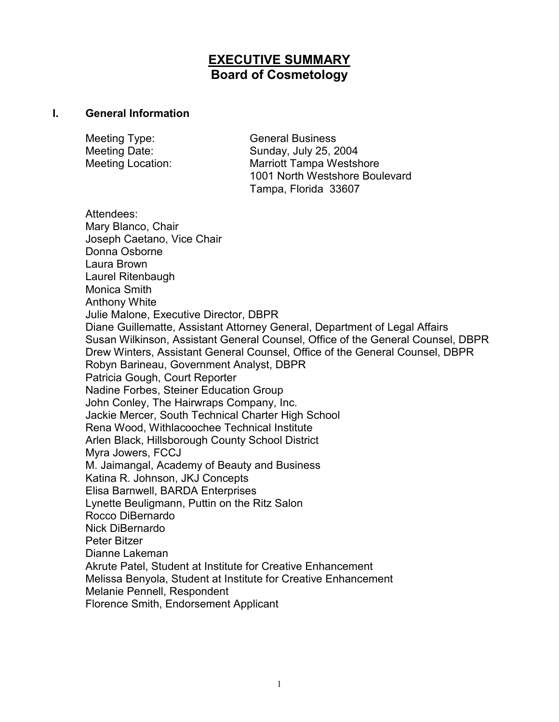# **EXECUTIVE SUMMARY Board of Cosmetology**

#### **I. General Information**

| Meeting Type:            | <b>General Business</b>                                           |
|--------------------------|-------------------------------------------------------------------|
| Meeting Date:            | Sunday, July 25, 2004                                             |
| <b>Meeting Location:</b> | <b>Marriott Tampa Westshore</b><br>1001 North Westshore Boulevard |
|                          | Tampa, Florida 33607                                              |

Attendees: Mary Blanco, Chair Joseph Caetano, Vice Chair Donna Osborne Laura Brown Laurel Ritenbaugh Monica Smith Anthony White Julie Malone, Executive Director, DBPR Diane Guillematte, Assistant Attorney General, Department of Legal Affairs Susan Wilkinson, Assistant General Counsel, Office of the General Counsel, DBPR Drew Winters, Assistant General Counsel, Office of the General Counsel, DBPR Robyn Barineau, Government Analyst, DBPR Patricia Gough, Court Reporter Nadine Forbes, Steiner Education Group John Conley, The Hairwraps Company, Inc. Jackie Mercer, South Technical Charter High School Rena Wood, Withlacoochee Technical Institute Arlen Black, Hillsborough County School District Myra Jowers, FCCJ M. Jaimangal, Academy of Beauty and Business Katina R. Johnson, JKJ Concepts Elisa Barnwell, BARDA Enterprises Lynette Beuligmann, Puttin on the Ritz Salon Rocco DiBernardo Nick DiBernardo Peter Bitzer Dianne Lakeman Akrute Patel, Student at Institute for Creative Enhancement Melissa Benyola, Student at Institute for Creative Enhancement Melanie Pennell, Respondent Florence Smith, Endorsement Applicant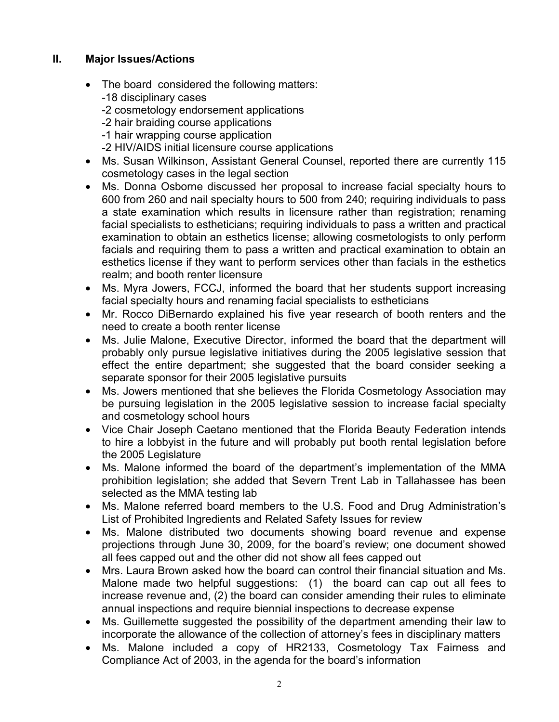### **II. Major Issues/Actions**

- The board considered the following matters: -18 disciplinary cases -2 cosmetology endorsement applications -2 hair braiding course applications -1 hair wrapping course application -2 HIV/AIDS initial licensure course applications
- Ms. Susan Wilkinson, Assistant General Counsel, reported there are currently 115 cosmetology cases in the legal section
- Ms. Donna Osborne discussed her proposal to increase facial specialty hours to 600 from 260 and nail specialty hours to 500 from 240; requiring individuals to pass a state examination which results in licensure rather than registration; renaming facial specialists to estheticians; requiring individuals to pass a written and practical examination to obtain an esthetics license; allowing cosmetologists to only perform facials and requiring them to pass a written and practical examination to obtain an esthetics license if they want to perform services other than facials in the esthetics realm; and booth renter licensure
- Ms. Myra Jowers, FCCJ, informed the board that her students support increasing facial specialty hours and renaming facial specialists to estheticians
- Mr. Rocco DiBernardo explained his five year research of booth renters and the need to create a booth renter license
- Ms. Julie Malone, Executive Director, informed the board that the department will probably only pursue legislative initiatives during the 2005 legislative session that effect the entire department; she suggested that the board consider seeking a separate sponsor for their 2005 legislative pursuits
- Ms. Jowers mentioned that she believes the Florida Cosmetology Association may be pursuing legislation in the 2005 legislative session to increase facial specialty and cosmetology school hours
- Vice Chair Joseph Caetano mentioned that the Florida Beauty Federation intends to hire a lobbyist in the future and will probably put booth rental legislation before the 2005 Legislature
- Ms. Malone informed the board of the department's implementation of the MMA prohibition legislation; she added that Severn Trent Lab in Tallahassee has been selected as the MMA testing lab
- Ms. Malone referred board members to the U.S. Food and Drug Administration's List of Prohibited Ingredients and Related Safety Issues for review
- Ms. Malone distributed two documents showing board revenue and expense projections through June 30, 2009, for the board's review; one document showed all fees capped out and the other did not show all fees capped out
- Mrs. Laura Brown asked how the board can control their financial situation and Ms. Malone made two helpful suggestions: (1) the board can cap out all fees to increase revenue and, (2) the board can consider amending their rules to eliminate annual inspections and require biennial inspections to decrease expense
- Ms. Guillemette suggested the possibility of the department amending their law to incorporate the allowance of the collection of attorney's fees in disciplinary matters
- Ms. Malone included a copy of HR2133, Cosmetology Tax Fairness and Compliance Act of 2003, in the agenda for the board's information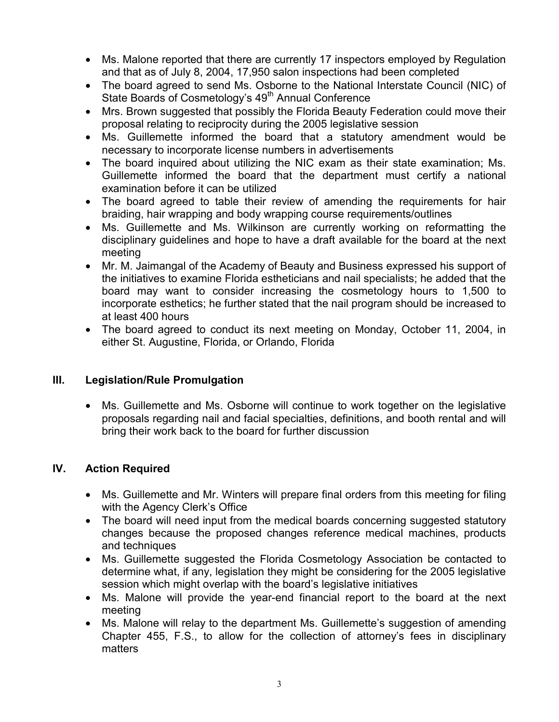- Ms. Malone reported that there are currently 17 inspectors employed by Regulation and that as of July 8, 2004, 17,950 salon inspections had been completed
- The board agreed to send Ms. Osborne to the National Interstate Council (NIC) of State Boards of Cosmetology's 49<sup>th</sup> Annual Conference
- Mrs. Brown suggested that possibly the Florida Beauty Federation could move their proposal relating to reciprocity during the 2005 legislative session
- Ms. Guillemette informed the board that a statutory amendment would be necessary to incorporate license numbers in advertisements
- The board inquired about utilizing the NIC exam as their state examination; Ms. Guillemette informed the board that the department must certify a national examination before it can be utilized
- The board agreed to table their review of amending the requirements for hair braiding, hair wrapping and body wrapping course requirements/outlines
- Ms. Guillemette and Ms. Wilkinson are currently working on reformatting the disciplinary guidelines and hope to have a draft available for the board at the next meeting
- Mr. M. Jaimangal of the Academy of Beauty and Business expressed his support of the initiatives to examine Florida estheticians and nail specialists; he added that the board may want to consider increasing the cosmetology hours to 1,500 to incorporate esthetics; he further stated that the nail program should be increased to at least 400 hours
- The board agreed to conduct its next meeting on Monday, October 11, 2004, in either St. Augustine, Florida, or Orlando, Florida

## **III. Legislation/Rule Promulgation**

• Ms. Guillemette and Ms. Osborne will continue to work together on the legislative proposals regarding nail and facial specialties, definitions, and booth rental and will bring their work back to the board for further discussion

#### **IV. Action Required**

- Ms. Guillemette and Mr. Winters will prepare final orders from this meeting for filing with the Agency Clerk's Office
- The board will need input from the medical boards concerning suggested statutory changes because the proposed changes reference medical machines, products and techniques
- Ms. Guillemette suggested the Florida Cosmetology Association be contacted to determine what, if any, legislation they might be considering for the 2005 legislative session which might overlap with the board's legislative initiatives
- Ms. Malone will provide the year-end financial report to the board at the next meeting
- Ms. Malone will relay to the department Ms. Guillemette's suggestion of amending Chapter 455, F.S., to allow for the collection of attorney's fees in disciplinary matters